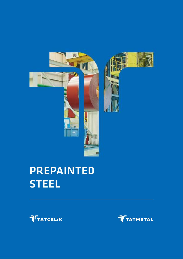

# PREPAINTED **STEEL**



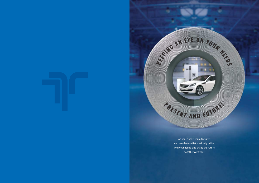

As your closest manufacturer, we manufacture flat steel fully in line with your needs, and shape the future together with you.

AN EYE ON YOUR ME

同

.

PRESENT AND FUTURE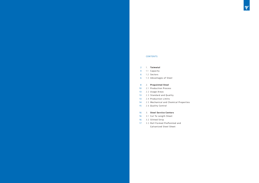#### CONTENTS

- 1. **Tatmetal** 2
- 1.1 Capacity 4
- 1.2 Sectors 6
- 1.3 Advantages of Steel 6

#### 2. **Prepainted Steel** 8

- 2.1 Production Process 10
- 2.2 Usage Areas 13
- 2.3 Standard and Quality 13
- 2.4 Production Limits 13
- 2.5 Mechanical and Chemical Properties 14
- 2.6 Quality Control 15

- 3.1 Cut To Length Sheet 16
- 3.2 Slitted Strip 16
- 17 3.3 Roll Formed PrePainted and Galvanized Steel Sheet



#### 3. **Steel Service Centers** 16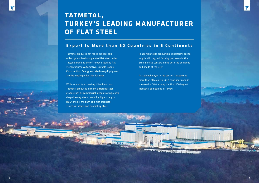

## **Export to More than 60 Countries in 6 Continents**

Tatmetal produces hot rolled pickled, cold rolled, galvanized and painted flat steel under Tatçelik brand as one of Turkey's leading flat steel producer. Automotive, Durable Goods, Construction, Energy and Machinery-Equipment are the leading industries it serves.

With a capacity exceeding 1.5 million tons, Tatmetal produces in many different steel grades such as commercial, deep drawing, extra deep drawing steels, low alloy high strength HSLA steels, medium and high strength structural steels and enameling steel.

# **TATMETAL, TURKEY 'S LE ADING MANUFACTURER OF FLAT STEEL**

In addition to its production, it performs cut to length, slitting, roll forming processes in the Steel Service Centers in line with the demands and needs of the user.

As a global player in the sector, it exports to more than 60 countries in 6 continents and it is ranked at 74st among the first 500 largest industrial companies in Turkey.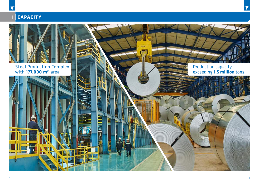

יך∫



Steel Production Complex with **177.000 m2** area



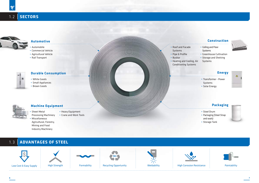#### 1.2 **SECTORS**



#### 1.3 **ADVANTAGES OF STEEL**

![](_page_5_Picture_20.jpeg)

![](_page_5_Picture_21.jpeg)

![](_page_5_Picture_22.jpeg)

## **Automotive Construction**

## **Durable Consumption Energy**

## **Machine Equipment Packaging**

- White Goods
- Small Appliances
- Brown Goods

![](_page_5_Picture_13.jpeg)

- Transformer Power Systems
- Solar Energy

![](_page_5_Picture_42.jpeg)

- Automobile
- Commercial Vehicle
- Agricultural Vehicle
- Rail Transport
- 厦

- Steel Drum
- Packaging (Steel Strap and seals)
- Storage Tank

![](_page_5_Picture_47.jpeg)

- Sheet Metal Processing Machinery
- Heavy Equipment
- Crane and Work Tools
- Miscellaneous Agricultural, Forestry, Mining and Food Industry Machinery
- Roof and Facade Systems
- Pipe & Profile
- Busbar
- Heating and Cooling, Air Conditioning Systems
- Ceiling and Floor Systems
- Greenhouse Cultivation
- Storage and Shelving
- Systems

![](_page_5_Picture_39.jpeg)

#### **6 7**

![](_page_5_Figure_48.jpeg)

![](_page_5_Picture_24.jpeg)

Recycling Opportunity

![](_page_5_Picture_26.jpeg)

![](_page_5_Picture_27.jpeg)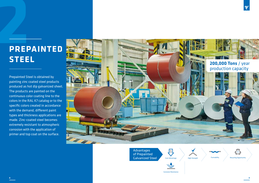Prepainted Steel is obtained by painting zinc coated steel products produced as hot dip galvanized sheet. The products are painted on the continuous color coating line to the colors in the RAL K7 catalog or to the specific colors created in accordance with the demand, different paint types and thickness applications are made. Zinc-coated steel becomes extremely resistant to atmospheric corrosion with the application of primer and top coat on the surface.

> Advantages of Prepainted Galvanized Steel

 $\sqrt{2}$ Cost Advantage

![](_page_6_Picture_5.jpeg)

**8 9**

# **PREPAINTED**

![](_page_6_Picture_2.jpeg)

![](_page_6_Picture_9.jpeg)

Corrosion Resistance

![](_page_6_Picture_8.jpeg)

![](_page_6_Picture_10.jpeg)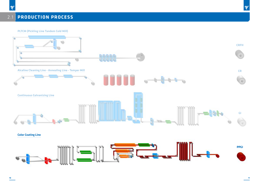# 2.1 **PRODUCTION PROCESS**

**PLTCM (Pickling Line Tandem Cold Mill)** 

![](_page_7_Figure_3.jpeg)

**CRFH**

חך

![](_page_7_Picture_5.jpeg)

![](_page_7_Picture_6.jpeg)

![](_page_7_Picture_7.jpeg)

**CR**

![](_page_7_Picture_9.jpeg)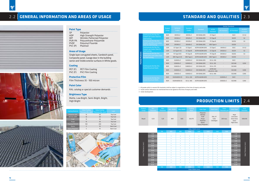|          |                                                                        |                                               |                      |                           |                 |                           | <b>Similar Standards</b> |                     |                           |  |  |  |
|----------|------------------------------------------------------------------------|-----------------------------------------------|----------------------|---------------------------|-----------------|---------------------------|--------------------------|---------------------|---------------------------|--|--|--|
|          |                                                                        | <b>TATCELIK</b><br>Product<br>Grades<br>Group |                      | <b>Standard</b><br>Grades | Standard        |                           | <b>EN Standard</b>       | <b>IIS Standard</b> | AS/NZS<br><b>Standard</b> |  |  |  |
|          | <b>Continuously Hot Dip Zinc</b><br><b>Coated Low Carbon Steel for</b> | <b>BGR</b>                                    | $DX51D+Z$            | $DX51D+Z$                 | EN 10346:2015   | CS Type C                 |                          | <b>SGCC</b>         | $G1-G2$                   |  |  |  |
|          | <b>Cold Forming</b>                                                    | <b>BGR</b>                                    | $DX52D+Z$            | $DX52D+Z$                 | EN 10346:2015   | CS Type B                 |                          | SGCD1               | G <sub>2</sub>            |  |  |  |
|          | <b>Continuously Hot Dip Zinc</b>                                       | <b>BGR</b>                                    | $DX53D+Z$            | $DX53D+Z$                 | EN 10346:2015   | FS Type B                 |                          | SGCD <sub>2</sub>   | G <sub>3</sub>            |  |  |  |
|          | Coated Low/Ultra Low Carbon<br><b>Steel for Cold Forming</b>           | <b>BGR</b>                                    | $DX54D+Z$            | $DX54D+Z$                 | EN 10346:2015   | <b>DDS Type A</b>         |                          | SGCD3               | $\overline{\phantom{a}}$  |  |  |  |
|          | <b>Continuously Hot Dip Zinc</b>                                       | GZR                                           | $CS$ Type $C(1)$     | CS Type C                 | ASTM A653M:2015 | CS Type C                 | $DX51D+Z$                | <b>SGCC</b>         | $G1-G2$                   |  |  |  |
|          | <b>Coated Low Carbon Steel for</b><br><b>Cold Forming</b>              | GZR                                           | $CS$ Type B $(1)$    | CS Type B                 | ASTM A653M:2015 | CS Type B                 | $DX52D+Z$                | SGCD1               | G <sub>2</sub>            |  |  |  |
| Products | <b>Continuously Hot Dip Zinc</b>                                       | GZR                                           | FS Type B (1)        | FS Type B                 | ASTM A653M:2015 | FS Type B                 | $DX53D+Z$                | SGCD <sub>2</sub>   | G <sub>3</sub>            |  |  |  |
|          | <b>Coated Ultra Low Carbon Steel</b><br>for Cold Forming               | GZR                                           | DDS Type A (1)       | DDS Type A                | ASTM A653M:2015 | DDS Type A                | $DX54D+Z$                | SGCD3               |                           |  |  |  |
| Painted  |                                                                        | <b>BGR</b>                                    | $S220GD+Z$           | $S220GD+Z$                | EN 10346:2015   | SS Gr. 230                |                          | <b>SGCC</b>         |                           |  |  |  |
|          |                                                                        | <b>BGR</b>                                    | $S250GD+Z$           | $S250GD+Z$                | EN 10346:2015   | SS Gr. 255                |                          | <b>SGC340</b>       | G250                      |  |  |  |
|          | <b>Continuously Hot Dip Zinc</b><br><b>Coated Structural Steels</b>    | <b>BGR</b>                                    | S280GD+Z             | S280GD+Z                  | EN 10346:2015   | SS Gr. 275                |                          | <b>SGC400</b>       |                           |  |  |  |
|          |                                                                        | <b>BGR</b>                                    | $S320GD+Z$           | S320GD+Z                  | EN 10346:2015   | ASTM A53<br>HSLAS Gr. 340 |                          | <b>SGC440</b>       | G300                      |  |  |  |
|          |                                                                        | <b>BGR</b>                                    | $S350GD+Z$           | S350GD+Z                  | EN 10346:2015   | SS Gr. 340                |                          | <b>SGC490</b>       | G350                      |  |  |  |
|          | <b>Continuously Hot Dip Zinc</b>                                       | <b>BGR</b>                                    | <b>SSGRADE33 (1)</b> | SS Gr. 230                | ASTM A653M:2015 |                           | $S220GD+Z$               | <b>SGCC</b>         |                           |  |  |  |
|          | <b>Coated Structural Steels</b>                                        | <b>BGR</b>                                    | <b>SSGRADE50 (1)</b> | SS Gr. 340                | ASTM A653M:2015 |                           | S350GD+Z                 | <b>SGC490</b>       | G350                      |  |  |  |

1 - All grades which is nearest EN standards shall be subject to negotiation at the time of enquiry and order.

2 - Issues and/or tolerances not mentioned here to be agreed at the time of enquiry and order. 3 - Under development.

|                      |      |     |           |           |           | Order Width (mm) |           |           |      |      |                      |
|----------------------|------|-----|-----------|-----------|-----------|------------------|-----------|-----------|------|------|----------------------|
|                      |      | 700 | 800       | 900       | 1000      | 1100             | 1200      | 1265      | 1300 |      |                      |
|                      | 1.30 |     |           |           |           |                  |           |           |      | 1.30 |                      |
|                      | 1.20 |     | ٠         | ٠         | $\bullet$ | ٠                | $\bullet$ | ٠         |      | 1.20 |                      |
|                      | 1.10 |     | ٠         | ٠         | $\bullet$ | ٠                | $\bullet$ | ٠         |      | 1.10 |                      |
|                      | 1.00 |     | ٠         | ٠         | $\bullet$ | ٠                | $\bullet$ | ٠         |      | 1.00 |                      |
|                      | 0.90 |     | ٠         | $\bullet$ | $\bullet$ | ٠                | ٠         | ٠         |      | 0.90 |                      |
|                      | 0.80 |     | ٠         | $\bullet$ | $\bullet$ | ٠                | ٠         | ٠         |      | 0.80 | Order Thickness (mm) |
|                      | 0.70 |     | ٠         | ٠         | $\bullet$ | ٠                | ٠         | ٠         |      | 0.70 |                      |
|                      | 0.60 |     | $\bullet$ | $\bullet$ | $\bullet$ | $\bullet$        | $\bullet$ | $\bullet$ |      | 0.60 |                      |
| Order Thickness (mm) | 0.55 |     | ٠         | ٠         | $\bullet$ | ٠                | $\bullet$ | $\bullet$ |      | 0.55 |                      |
|                      | 0.50 |     | ٠         | ٠         | $\bullet$ | $\bullet$        | $\bullet$ | $\bullet$ |      | 0.50 |                      |
|                      | 0.45 |     | ٠         | $\bullet$ | $\bullet$ | ٠                | $\bullet$ | $\bullet$ |      | 0.45 |                      |
|                      | 0.40 |     | $\bullet$ | $\bullet$ | $\bullet$ | ٠                | ٠         | $\bullet$ |      | 0.40 |                      |
|                      | 0.33 |     | ٠         | ٠         | $\bullet$ | ٠                | ٠         | $\bullet$ |      | 0.33 |                      |
|                      | 0.25 |     |           |           |           |                  |           |           |      | 0.25 |                      |
|                      |      | 700 | 800       | 900       | 1000      | 1100             | 1200      | 1265      | 1300 |      |                      |
| Order Width (mm)     |      |     |           |           |           |                  |           |           |      |      |                      |

Product **Group** Max<br>Thicknes Min. Width Max Width  $\overline{\phantom{0}}$  Loating Mass Boyalı 0,33 1,20 800 1265 60/275

| oating<br><b>Mass</b> | <b>Color Type</b>                                                                     | <b>Paint Color</b>          | Paint<br>Thickness um | <b>Gloss Type</b>                                             | Inner<br><b>Diameter</b> |
|-----------------------|---------------------------------------------------------------------------------------|-----------------------------|-----------------------|---------------------------------------------------------------|--------------------------|
| 50/275                | Polyester<br>Wrinkle<br>Pvdf<br>Purpa<br>Plastisol<br>Epoxy<br><b>Epoxy Polyester</b> | RALK7<br>Color<br>Catalogue | 200 max.              | Matt<br>Low Gloss<br>Semi Gloss<br>Gloss<br><b>High Gloss</b> | 508/610                  |

![](_page_8_Picture_25.jpeg)

# **PRODUCTION LIMITS** 2.4

# 2.2 **GENERAL INFORMATION AND AREAS OF USAGE STANDARD AND QUALITIES** 2.3

![](_page_8_Picture_3.jpeg)

![](_page_8_Picture_4.jpeg)

#### **Paint Type**

| SP          | Polyester                      |
|-------------|--------------------------------|
| HDP         | <b>High Strength Polyester</b> |
| <b>WP</b>   | Wrinkle-Patterned Polyester    |
| PUR-PA      | Polyurethane-Polyamide         |
| <b>PVDF</b> | Polyvinyl Fluoride             |
| PVC (P)     | Plastisol                      |

#### **Areas of Usage**

Single layer corrugated sheets, Sandwich panel, Composite panel, Garage door in the building sector and Visible exterior surfaces in White goods.

#### **Coating**

| PET (F) | <b>PET Film Coating</b> |
|---------|-------------------------|
| PVC(F)  | <b>PVC Film Coating</b> |

#### **Protective Film**

Film Thickness 35 - 100 micron

#### **Paint Color**

RAL catalog or special customer demands

## **Brightness Type**

Matte, Low Bright, Semi-Bright, Bright, High Bright

| <b>Coating Material</b> | <b>Colour Coating</b><br>Thickness Min. (um) | <b>Colour Coating</b><br>Thickness Max. (um) | Layer            |
|-------------------------|----------------------------------------------|----------------------------------------------|------------------|
| Polyester (SP)          | 15                                           | 50                                           | <b>Top Coat</b>  |
| Wrinkle (WP)            | 15                                           | 30                                           | <b>Top Coat</b>  |
| Pvdf                    | 15                                           | 50                                           | <b>Top Coat</b>  |
| Purpa                   | 15                                           | 30                                           | <b>Top Coat</b>  |
| Plastisol PVC (F)       | 100                                          | 200                                          | <b>Top Coat</b>  |
| Epoxy                   | 5                                            | 10                                           | <b>Back Coat</b> |
| <b>Epoxy Polyester</b>  | 5                                            | 10                                           | <b>Back Coat</b> |

![](_page_8_Picture_18.jpeg)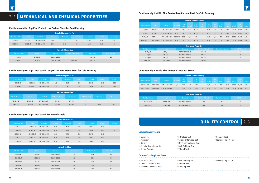## **Continuously Hot Dip Zinc Coated Low Carbon Steel for Cold Forming**

| <b>Chemical Composition (%)</b> |            |                 |               |               |                    |              |                          |              |                     |               |             |             |                    |               |
|---------------------------------|------------|-----------------|---------------|---------------|--------------------|--------------|--------------------------|--------------|---------------------|---------------|-------------|-------------|--------------------|---------------|
| <b>TATCELIK Grade</b>           | Grade      | <b>Standard</b> | $C$ (max.)    | Mn.<br>(max.) | <b>P</b><br>(max.) | S.<br>(max.) | <b>Si</b><br>(max.)      | Cu<br>(max.) | <b>Ni</b><br>(max.) | Cr.<br>(max.) | Mo<br>(max. | V<br>(max.) | <b>Nb</b><br>(max) | Ti.<br>(max.) |
| CS Type B                       | CS Type B  | ASTM A653M:2015 | $0.02 - 0.15$ | 0,60          | 0,03               | 0,035        | $\overline{\phantom{a}}$ | 0.25         | 0,20                | 0,15          | 0,06        | 0.008       | 0.008              | 0,025         |
| CS Type C                       | CS Type C  | ASTM A653M:2015 | 0.08          | 0,60          | 0,10               | 0,035        | $\overline{\phantom{a}}$ | 0.25         | 0,20                | 0,15          | 0,06        | 0.008       | 0.008              | 0,025         |
| FS Type B                       | FS Type B  | ASTM A653M:2015 | $0,02 - 0,10$ | 0,50          | 0,02               | 0,03         | $\overline{\phantom{a}}$ | 0,25         | 0,20                | 0,15          | 0,06        | 0.008       | 0.008              | 0,025         |
| DDS Type A                      | DDS Type A | ASTM A653M:2015 | 0,06          | 0,50          | 0,02               | 0,025        | $\overline{\phantom{a}}$ | 0.25         | 0,20                | 0,15          | 0,06        | 0.008       | 0.008              | 0,025         |

| <b>Mechanical Properties</b> |            |                 |                    |                             |                  |  |  |  |  |  |  |
|------------------------------|------------|-----------------|--------------------|-----------------------------|------------------|--|--|--|--|--|--|
| <b>TATCELIK Grade</b>        | Grade      | Standard        | $Re N/mm^2$ (min.) | Rm N/mm <sup>2</sup> (min.) | A (%) A50 (min.) |  |  |  |  |  |  |
| CS Type B                    | CS Type B  | ASTM A653M:2015 | 205-380            | $\overline{\phantom{a}}$    | 20               |  |  |  |  |  |  |
| CS Type C                    | CS Type C  | ASTM A653M:2015 | 170-410            | $\overline{a}$              | 15               |  |  |  |  |  |  |
| FS Type B                    | FS Type B  | ASTM A653M:2015 | 170-310            | $\overline{\phantom{0}}$    | 26               |  |  |  |  |  |  |
| DDS Type A                   | DDS Type A | ASTM A653M:2015 | 140-240            | $\overline{\phantom{a}}$    | 32               |  |  |  |  |  |  |

#### **Continuously Hot Dip Zinc Coated Structural Steels**

|                       | <b>Chemical Composition (%)</b> |                 |            |                 |              |                    |                          |                   |                     |                     |              |             |                     |               |
|-----------------------|---------------------------------|-----------------|------------|-----------------|--------------|--------------------|--------------------------|-------------------|---------------------|---------------------|--------------|-------------|---------------------|---------------|
| <b>TATCELIK Grade</b> | Grade                           | <b>Standard</b> | $C$ (max.) | Mn<br>(max.)    | P.<br>(max.) | S<br>(max.)        | <b>Si</b><br>(max.)      | Cu<br>(max.)      | <b>Ni</b><br>(max.) | <b>Cr</b><br>(max.) | Mo<br>(max.) | V<br>(max.) | <b>Nb</b><br>(max.) | Ti.<br>(max.) |
| SSGRADE33             | SS Gr. 230                      | ASTM A653M:2015 | 0.20       | 1,35            | 0,10         | 0,04               | $\overline{\phantom{a}}$ | 0,25              | 0,20                | 0,15                | 0,06         | 0,008       | 0,008               | 0,025         |
| SSGRADE50             | SS Gr. 340                      | ASTM A653M:2015 | 0.25       | 1,35            | 0,20         | 0.04               | $\overline{\phantom{a}}$ | 0,25              | 0,20                | 0,15                | 0,06         | 0.008       | 0,008               | 0,025         |
|                       | <b>Mechanical Properties</b>    |                 |            |                 |              |                    |                          |                   |                     |                     |              |             |                     |               |
| <b>TATCELIK Grade</b> |                                 | Grade           |            | <b>Standard</b> |              | $Re N/mm^2$ (min.) |                          | $Rm N/mm2$ (min.) |                     | A (%) A50 (min.)    |              |             |                     |               |
| SSGRADE33             |                                 | SS Gr. 230      |            | ASTM A653M:2015 |              |                    | 230                      |                   | 310                 |                     |              | 20          |                     |               |
| SSGRADE50             |                                 | SS Gr. 340      |            | ASTM A653M:2015 |              |                    | 340                      |                   | 450                 |                     | 12           |             |                     |               |

#### **Continuously Hot Dip Zinc Coated Low Carbon Steel for Cold Forming**

est Cupping Test Reverse Impact Test Reverse Impact Test

| <b>Laboratuvary Tests</b>        |                              |
|----------------------------------|------------------------------|
| $\sqrt{\phantom{a}}$ Coverage    | $\sqrt{60^\circ}$ Gloss Test |
| √ Viscosity                      | √ Colour Difference Test     |
| √ Density                        | √ Dry Film Thickness Te      |
| √ Alkaline Bath Analysis         | ◆ Mek Rubbing Test           |
| √ Cr free Analysis               | √ T-Bend Test                |
| <b>Colour Coating Line Tests</b> |                              |
| $\sqrt{60}$ Gloss Test           | √ Mek Rubbing Test           |
| √ Colour Difference Test         | √ T-Bend Test                |

|                       | <b>Chemical Composition (%)</b> |               |          |             |            |            |           |           |  |  |  |  |
|-----------------------|---------------------------------|---------------|----------|-------------|------------|------------|-----------|-----------|--|--|--|--|
| <b>TATCELIK Grade</b> | Grade                           | Standard      | ์ (max.) | $Mn$ (max.) | $P$ (max.) | $S$ (max.) | Si (max.) | Ti (max.) |  |  |  |  |
| $DX51D+Z$             | $DX51D+Z$                       | EN 10346:2015 | 0,18     | 1,20        | 0,12       | 0.045      | 0.50      | 0,30      |  |  |  |  |
| $DX52D+Z$             | $DX52D+Z$                       | EN 10346:2015 | 0,12     | 0,60        | 0,10       | 0,045      | 0,50      | 0,30      |  |  |  |  |

|                       | <b>Mechanical Properties</b> |               |                    |             |                  |  |  |  |  |  |  |
|-----------------------|------------------------------|---------------|--------------------|-------------|------------------|--|--|--|--|--|--|
| <b>TATCELIK Grade</b> | Grade                        | Standard      | $Re N/mm^2$ (max.) | $Rm N/mm^2$ | A (%) A80 (min.) |  |  |  |  |  |  |
| $DX51D+Z$             | $DX51D+Z$                    | EN 10346:2015 | $\overline{a}$     | 270-500     | 22               |  |  |  |  |  |  |
| $DX52D+Z$             | $DX52D+Z$                    | EN 10346:2015 | 140-300            | 270-420     | 26               |  |  |  |  |  |  |

#### **Continuously Hot Dip Zinc Coated Low/Ultra Low Carbon Steel for Cold Forming**

| Chemical Composition (%) |           |               |            |             |            |            |           |             |
|--------------------------|-----------|---------------|------------|-------------|------------|------------|-----------|-------------|
| <b>TATCELIK Grade</b>    | Grade     | Standard      | $C$ (max.) | $Mn$ (max.) | $P$ (max.) | $S$ (max.) | Si (max.) | $Ti$ (max.) |
| $DX53D+Z$                | $DX53D+Z$ | EN 10346:2015 | 0,12       | 0.60        | 0,10       | 0.045      | 0.50      | 0,30        |
| $DX54D+Z$                | $DX54D+Z$ | EN 10346:2015 | 0,12       | 0,60        | 0,10       | 0,045      | 0,50      | 0,30        |

| <b>Mechanical Properties</b> |           |               |                    |             |                    |                          |                          |
|------------------------------|-----------|---------------|--------------------|-------------|--------------------|--------------------------|--------------------------|
| <b>TATCELIK Grade</b>        | Grade     | Standard      | Re $N/mm^2$ (max.) | $Rm N/mm^2$ | $A$ (%) A80 (min.) | $r90$ (min.)             | n90 (min.)               |
| $DX53D+Z$                    | $DX53D+Z$ | EN 10346:2015 | 140-260            | 270-380     | 30                 | $\overline{\phantom{0}}$ | $\overline{\phantom{a}}$ |
| $DX54D+Z$                    | $DX54D+Z$ | EN 10346:2015 | 120-220            | 260-350     | 36                 | 1,60                     | 0,18                     |

#### **Continuously Hot Dip Zinc Coated Structural Steels**

| Kimyasal Bileşim (%)  |            |               |            |             |            |            |           |                          |
|-----------------------|------------|---------------|------------|-------------|------------|------------|-----------|--------------------------|
| <b>TATCELIK Grade</b> | Grade      | Standard      | $C$ (max.) | $Mn$ (max.) | $P$ (max.) | $S$ (max.) | Si (max.) | $Ti$ (max.)              |
| $S220GD+Z$            | $S220GD+Z$ | EN 10346:2015 | 0,20       | 1,70        | 0,10       | 0.045      | 0.60      | $\overline{\phantom{a}}$ |
| $S250GD+Z$            | $S250GD+Z$ | EN 10346:2015 | 0,20       | 1,70        | 0,10       | 0.045      | 0,60      | $\overline{\phantom{a}}$ |
| $S280GD+Z$            | $S280GD+Z$ | EN 10346:2015 | 0,20       | 1,70        | 0,10       | 0.045      | 0,60      | $\overline{\phantom{a}}$ |
| S320GD+Z              | $S320GD+Z$ | EN 10346:2015 | 0,20       | 1.70        | 0,10       | 0.045      | 0,60      | $\overline{\phantom{a}}$ |
| S350GD+Z              | $S350GD+Z$ | EN 10346:2015 | 0,20       | 1.70        | 0,10       | 0,045      | 0,60      | $\overline{\phantom{a}}$ |

| Mekanik Özellikler    |            |               |                             |                             |                  |
|-----------------------|------------|---------------|-----------------------------|-----------------------------|------------------|
| <b>TATCELIK Grade</b> | Grade      | Standard      | Re N/mm <sup>2</sup> (min.) | Rm N/mm <sup>2</sup> (min.) | A (%) A80 (min.) |
| $S220GD+Z$            | $S220GD+Z$ | EN 10346:2015 | 220                         | 300                         | 20               |
| $S250GD+Z$            | $S250GD+Z$ | EN 10346:2015 | 250                         | 330                         | 19               |
| S280GD+Z              | $S280GD+Z$ | EN 10346:2015 | 280                         | 360                         | 18               |
| $S320GD+Z$            | $S320GD+Z$ | EN 10346:2015 | 320                         | 390                         | 17               |
| S350GD+Z              | $S350GD+Z$ | EN 10346:2015 | 350                         | 420                         | 16               |

![](_page_9_Picture_19.jpeg)

# 2.5 **MECHANICAL AND CHEMICAL PROPERTIES**

| I UU UIUSSIITSI           | <b>VIVIER RUDDING IC:</b> |
|---------------------------|---------------------------|
| √ Colour Difference Test  | √ T-Bend Test             |
| √ Dry Film Thickness Test | √ Cupping Test            |

# **QUALITY CONTROL** 2.6

![](_page_9_Figure_22.jpeg)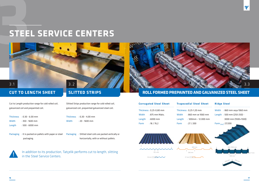# **STEEL SERVICE CENTERS**

![](_page_10_Picture_1.jpeg)

# **CUT TO LENGTH SHEET** SLITTED STRIPS

Cut to Length production range for cold rolled coil, galvanized coil and prepainted coil;

Packaging : It is packed on pallets with paper or steel packaging.

| <b>Thickness</b> | $: 0.30 - 6.00$ mm |
|------------------|--------------------|
| Width            | $: 350 - 1600$ mm  |
| Length           | $:500$ - 6000 mm   |

Packaging : Slitted steel coils are packed vertically or horizontally, with or without pallets.

![](_page_10_Picture_10.jpeg)

Slitted Strips production range for cold rolled coil, galvanized coil, prepainted galvanized steel coil;

Thickness : 0,30 - 4,00 mm Width : 20 - 1600 mm

|        | <b>Corrugated Steel Sheet</b> |        | <b>Trapezodial Steel Sheet</b> |  |  |
|--------|-------------------------------|--------|--------------------------------|--|--|
|        | Thickness: 0,25-0,80 mm       |        | Thickness: 0,25-1,20 mm        |  |  |
| Width  | : 875 mm Maks.                | Width  | : 860 mm ve 1060 mm            |  |  |
| Length | $:6000$ mm                    | Length | $: 500$ mm - 12.000 mm         |  |  |
| Form   | : 18 / 76,2                   | Form   | : 27 / 200                     |  |  |
|        |                               |        |                                |  |  |

#### **Ridge Steel**

| Width : 860 mm veya 1060 mm |
|-----------------------------|
| Length : 500 mm (250-250) - |
| 3000 mm (1500+1500)         |
| ה הודר                      |

![](_page_10_Figure_15.jpeg)

In addition to its production, Tatçelik performs cut to length, slitting in the Steel Service Centers.

![](_page_10_Picture_17.jpeg)

![](_page_10_Picture_12.jpeg)

# 3.2

## **ROLL FORMED PREPAINTED AND GALVANIZED STEEL SHEET**